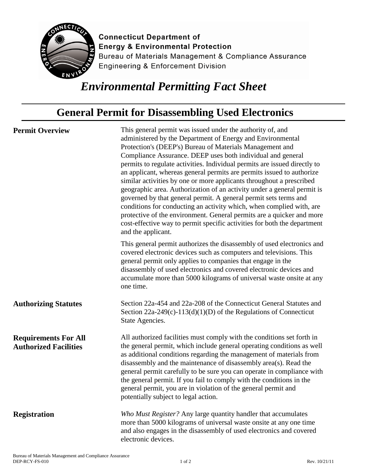

**Connecticut Department of Energy & Environmental Protection** Bureau of Materials Management & Compliance Assurance **Engineering & Enforcement Division** 

## *Environmental Permitting Fact Sheet*

## **General Permit for Disassembling Used Electronics**

**Permit Overview** This general permit was issued under the authority of, and administered by the Department of Energy and Environmental Protection's (DEEP's) Bureau of Materials Management and Compliance Assurance. DEEP uses both individual and general permits to regulate activities. Individual permits are issued directly to an applicant, whereas general permits are permits issued to authorize similar activities by one or more applicants throughout a prescribed geographic area. Authorization of an activity under a general permit is governed by that general permit. A general permit sets terms and conditions for conducting an activity which, when complied with, are protective of the environment. General permits are a quicker and more cost-effective way to permit specific activities for both the department and the applicant. This general permit authorizes the disassembly of used electronics and covered electronic devices such as computers and televisions. This general permit only applies to companies that engage in the

disassembly of used electronics and covered electronic devices and accumulate more than 5000 kilograms of universal waste onsite at any one time.

**Authorizing Statutes** Section 22a-454 and 22a-208 of the Connecticut General Statutes and Section 22a-249(c)-113(d)(1)(D) of the Regulations of Connecticut State Agencies.

**Requirements For All Authorized Facilities** All authorized facilities must comply with the conditions set forth in the general permit, which include general operating conditions as well as additional conditions regarding the management of materials from disassembly and the maintenance of disassembly area(s). Read the general permit carefully to be sure you can operate in compliance with the general permit. If you fail to comply with the conditions in the general permit, you are in violation of the general permit and potentially subject to legal action.

**Registration** *Who Must Register?* Any large quantity handler that accumulates more than 5000 kilograms of universal waste onsite at any one time and also engages in the disassembly of used electronics and covered electronic devices.